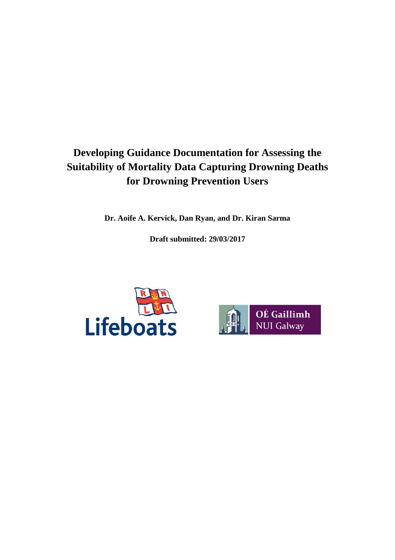# **Developing Guidance Documentation for Assessing the Suitability of Mortality Data Capturing Drowning Deaths for Drowning Prevention Users**

**Dr. Aoife A. Kervick, Dan Ryan, and Dr. Kiran Sarma**

**Draft submitted: 29/03/2017**



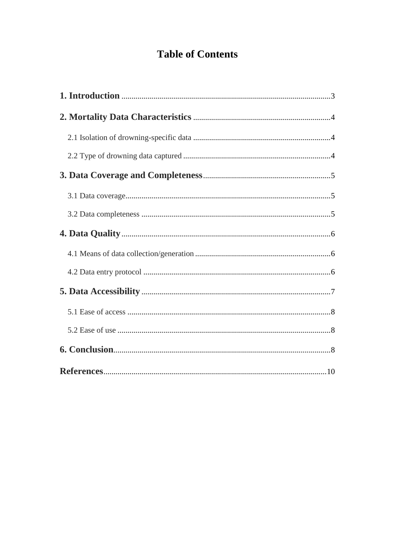# **Table of Contents**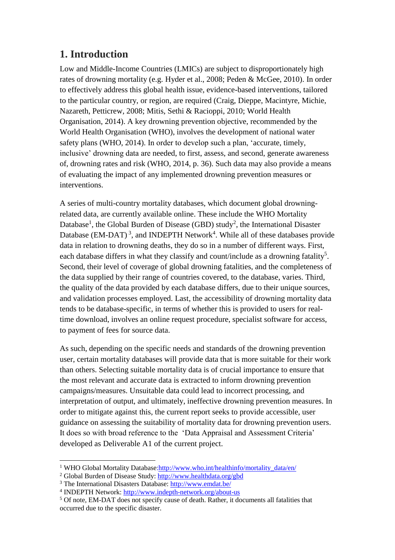### **1. Introduction**

Low and Middle-Income Countries (LMICs) are subject to disproportionately high rates of drowning mortality (e.g. Hyder et al., 2008; Peden & McGee, 2010). In order to effectively address this global health issue, evidence-based interventions, tailored to the particular country, or region, are required (Craig, Dieppe, Macintyre, Michie, Nazareth, Petticrew, 2008; Mitis, Sethi & Racioppi, 2010; World Health Organisation, 2014). A key drowning prevention objective, recommended by the World Health Organisation (WHO), involves the development of national water safety plans (WHO, 2014). In order to develop such a plan, 'accurate, timely, inclusive' drowning data are needed, to first, assess, and second, generate awareness of, drowning rates and risk (WHO, 2014, p. 36). Such data may also provide a means of evaluating the impact of any implemented drowning prevention measures or interventions.

A series of multi-country mortality databases, which document global drowningrelated data, are currently available online. These include the WHO Mortality Database<sup>1</sup>, the Global Burden of Disease (GBD) study<sup>2</sup>, the International Disaster Database (EM-DAT)<sup>3</sup>, and INDEPTH Network<sup>4</sup>. While all of these databases provide data in relation to drowning deaths, they do so in a number of different ways. First, each database differs in what they classify and count/include as a drowning fatality<sup>5</sup>. Second, their level of coverage of global drowning fatalities, and the completeness of the data supplied by their range of countries covered, to the database, varies. Third, the quality of the data provided by each database differs, due to their unique sources, and validation processes employed. Last, the accessibility of drowning mortality data tends to be database-specific, in terms of whether this is provided to users for realtime download, involves an online request procedure, specialist software for access, to payment of fees for source data.

As such, depending on the specific needs and standards of the drowning prevention user, certain mortality databases will provide data that is more suitable for their work than others. Selecting suitable mortality data is of crucial importance to ensure that the most relevant and accurate data is extracted to inform drowning prevention campaigns/measures. Unsuitable data could lead to incorrect processing, and interpretation of output, and ultimately, ineffective drowning prevention measures. In order to mitigate against this, the current report seeks to provide accessible, user guidance on assessing the suitability of mortality data for drowning prevention users. It does so with broad reference to the 'Data Appraisal and Assessment Criteria' developed as Deliverable A1 of the current project.

 $\overline{a}$ <sup>1</sup> WHO Global Mortality Database: http://www.who.int/healthinfo/mortality\_data/en/

<sup>2</sup> Global Burden of Disease Study: <http://www.healthdata.org/gbd>

<sup>3</sup> The International Disasters Database[: http://www.emdat.be/](http://www.emdat.be/)

<sup>&</sup>lt;sup>4</sup> INDEPTH Network:<http://www.indepth-network.org/about-us>

<sup>5</sup> Of note, EM-DAT does not specify cause of death. Rather, it documents all fatalities that occurred due to the specific disaster.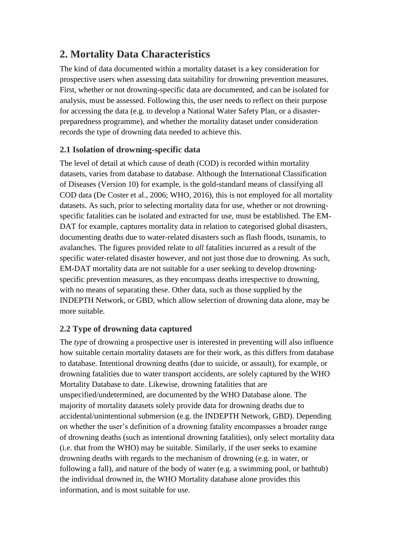## **2. Mortality Data Characteristics**

The kind of data documented within a mortality dataset is a key consideration for prospective users when assessing data suitability for drowning prevention measures. First, whether or not drowning-specific data are documented, and can be isolated for analysis, must be assessed. Following this, the user needs to reflect on their purpose for accessing the data (e.g. to develop a National Water Safety Plan, or a disasterpreparedness programme), and whether the mortality dataset under consideration records the type of drowning data needed to achieve this.

### **2.1 Isolation of drowning-specific data**

The level of detail at which cause of death (COD) is recorded within mortality datasets, varies from database to database. Although the International Classification of Diseases (Version 10) for example, is the gold-standard means of classifying all COD data (De Coster et al., 2006; WHO, 2016), this is not employed for all mortality datasets. As such, prior to selecting mortality data for use, whether or not drowningspecific fatalities can be isolated and extracted for use, must be established. The EM-DAT for example, captures mortality data in relation to categorised global disasters, documenting deaths due to water-related disasters such as flash floods, tsunamis, to avalanches. The figures provided relate to *all* fatalities incurred as a result of the specific water-related disaster however, and not just those due to drowning. As such, EM-DAT mortality data are not suitable for a user seeking to develop drowningspecific prevention measures, as they encompass deaths irrespective to drowning, with no means of separating these. Other data, such as those supplied by the INDEPTH Network, or GBD, which allow selection of drowning data alone, may be more suitable.

### **2.2 Type of drowning data captured**

The *type* of drowning a prospective user is interested in preventing will also influence how suitable certain mortality datasets are for their work, as this differs from database to database. Intentional drowning deaths (due to suicide, or assault), for example, or drowning fatalities due to water transport accidents, are solely captured by the WHO Mortality Database to date. Likewise, drowning fatalities that are unspecified/undetermined, are documented by the WHO Database alone. The majority of mortality datasets solely provide data for drowning deaths due to accidental/unintentional submersion (e.g. the INDEPTH Network, GBD). Depending on whether the user's definition of a drowning fatality encompasses a broader range of drowning deaths (such as intentional drowning fatalities), only select mortality data (i.e. that from the WHO) may be suitable. Similarly, if the user seeks to examine drowning deaths with regards to the mechanism of drowning (e.g. in water, or following a fall), and nature of the body of water (e.g. a swimming pool, or bathtub) the individual drowned in, the WHO Mortality database alone provides this information, and is most suitable for use.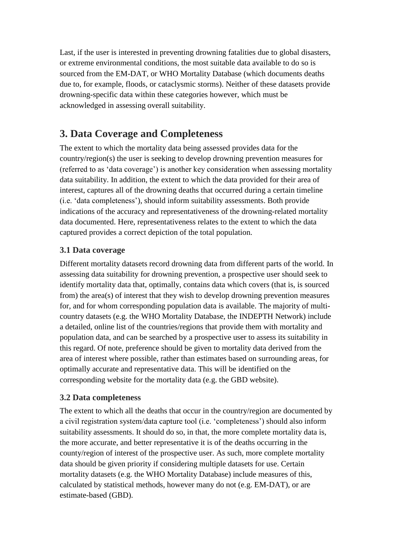Last, if the user is interested in preventing drowning fatalities due to global disasters, or extreme environmental conditions, the most suitable data available to do so is sourced from the EM-DAT, or WHO Mortality Database (which documents deaths due to, for example, floods, or cataclysmic storms). Neither of these datasets provide drowning-specific data within these categories however, which must be acknowledged in assessing overall suitability.

## **3. Data Coverage and Completeness**

The extent to which the mortality data being assessed provides data for the country/region(s) the user is seeking to develop drowning prevention measures for (referred to as 'data coverage') is another key consideration when assessing mortality data suitability. In addition, the extent to which the data provided for their area of interest, captures all of the drowning deaths that occurred during a certain timeline (i.e. 'data completeness'), should inform suitability assessments. Both provide indications of the accuracy and representativeness of the drowning-related mortality data documented. Here, representativeness relates to the extent to which the data captured provides a correct depiction of the total population.

### **3.1 Data coverage**

Different mortality datasets record drowning data from different parts of the world. In assessing data suitability for drowning prevention, a prospective user should seek to identify mortality data that, optimally, contains data which covers (that is, is sourced from) the area(s) of interest that they wish to develop drowning prevention measures for, and for whom corresponding population data is available. The majority of multicountry datasets (e.g. the WHO Mortality Database, the INDEPTH Network) include a detailed, online list of the countries/regions that provide them with mortality and population data, and can be searched by a prospective user to assess its suitability in this regard. Of note, preference should be given to mortality data derived from the area of interest where possible, rather than estimates based on surrounding areas, for optimally accurate and representative data. This will be identified on the corresponding website for the mortality data (e.g. the GBD website).

#### **3.2 Data completeness**

The extent to which all the deaths that occur in the country/region are documented by a civil registration system/data capture tool (i.e. 'completeness') should also inform suitability assessments. It should do so, in that, the more complete mortality data is, the more accurate, and better representative it is of the deaths occurring in the county/region of interest of the prospective user. As such, more complete mortality data should be given priority if considering multiple datasets for use. Certain mortality datasets (e.g. the WHO Mortality Database) include measures of this, calculated by statistical methods, however many do not (e.g. EM-DAT), or are estimate-based (GBD).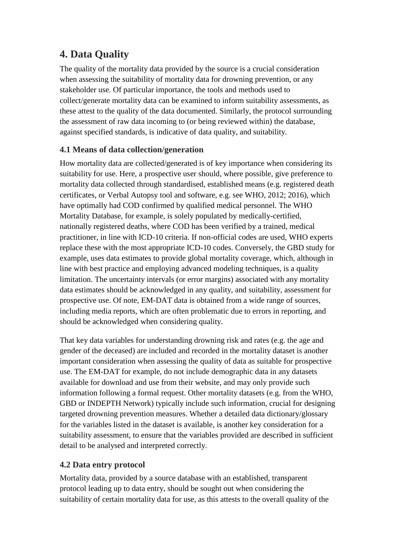### **4. Data Quality**

The quality of the mortality data provided by the source is a crucial consideration when assessing the suitability of mortality data for drowning prevention, or any stakeholder use. Of particular importance, the tools and methods used to collect/generate mortality data can be examined to inform suitability assessments, as these attest to the quality of the data documented. Similarly, the protocol surrounding the assessment of raw data incoming to (or being reviewed within) the database, against specified standards, is indicative of data quality, and suitability.

### **4.1 Means of data collection/generation**

How mortality data are collected/generated is of key importance when considering its suitability for use. Here, a prospective user should, where possible, give preference to mortality data collected through standardised, established means (e.g. registered death certificates, or Verbal Autopsy tool and software, e.g. see WHO, 2012; 2016), which have optimally had COD confirmed by qualified medical personnel. The WHO Mortality Database, for example, is solely populated by medically-certified, nationally registered deaths, where COD has been verified by a trained, medical practitioner, in line with ICD-10 criteria. If non-official codes are used, WHO experts replace these with the most appropriate ICD-10 codes. Conversely, the GBD study for example, uses data estimates to provide global mortality coverage, which, although in line with best practice and employing advanced modeling techniques, is a quality limitation. The uncertainty intervals (or error margins) associated with any mortality data estimates should be acknowledged in any quality, and suitability, assessment for prospective use. Of note, EM-DAT data is obtained from a wide range of sources, including media reports, which are often problematic due to errors in reporting, and should be acknowledged when considering quality.

That key data variables for understanding drowning risk and rates (e.g. the age and gender of the deceased) are included and recorded in the mortality dataset is another important consideration when assessing the quality of data as suitable for prospective use. The EM-DAT for example, do not include demographic data in any datasets available for download and use from their website, and may only provide such information following a formal request. Other mortality datasets (e.g. from the WHO, GBD or INDEPTH Network) typically include such information, crucial for designing targeted drowning prevention measures. Whether a detailed data dictionary/glossary for the variables listed in the dataset is available, is another key consideration for a suitability assessment, to ensure that the variables provided are described in sufficient detail to be analysed and interpreted correctly.

#### **4.2 Data entry protocol**

Mortality data, provided by a source database with an established, transparent protocol leading up to data entry, should be sought out when considering the suitability of certain mortality data for use, as this attests to the overall quality of the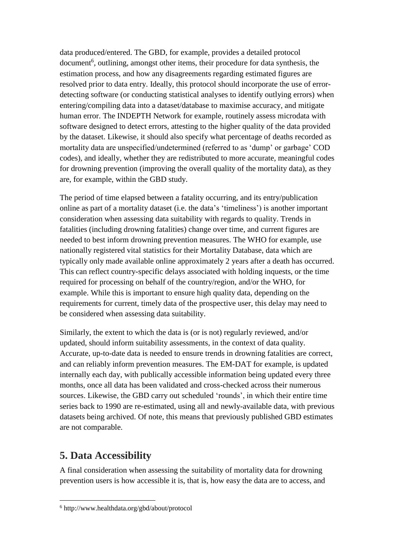data produced/entered. The GBD, for example, provides a detailed protocol document<sup>6</sup>, outlining, amongst other items, their procedure for data synthesis, the estimation process, and how any disagreements regarding estimated figures are resolved prior to data entry. Ideally, this protocol should incorporate the use of errordetecting software (or conducting statistical analyses to identify outlying errors) when entering/compiling data into a dataset/database to maximise accuracy, and mitigate human error. The INDEPTH Network for example, routinely assess microdata with software designed to detect errors, attesting to the higher quality of the data provided by the dataset. Likewise, it should also specify what percentage of deaths recorded as mortality data are unspecified/undetermined (referred to as 'dump' or garbage' COD codes), and ideally, whether they are redistributed to more accurate, meaningful codes for drowning prevention (improving the overall quality of the mortality data), as they are, for example, within the GBD study.

The period of time elapsed between a fatality occurring, and its entry/publication online as part of a mortality dataset (i.e. the data's 'timeliness') is another important consideration when assessing data suitability with regards to quality. Trends in fatalities (including drowning fatalities) change over time, and current figures are needed to best inform drowning prevention measures. The WHO for example, use nationally registered vital statistics for their Mortality Database, data which are typically only made available online approximately 2 years after a death has occurred. This can reflect country-specific delays associated with holding inquests, or the time required for processing on behalf of the country/region, and/or the WHO, for example. While this is important to ensure high quality data, depending on the requirements for current, timely data of the prospective user, this delay may need to be considered when assessing data suitability.

Similarly, the extent to which the data is (or is not) regularly reviewed, and/or updated, should inform suitability assessments, in the context of data quality. Accurate, up-to-date data is needed to ensure trends in drowning fatalities are correct, and can reliably inform prevention measures. The EM-DAT for example, is updated internally each day, with publically accessible information being updated every three months, once all data has been validated and cross-checked across their numerous sources. Likewise, the GBD carry out scheduled 'rounds', in which their entire time series back to 1990 are re-estimated, using all and newly-available data, with previous datasets being archived. Of note, this means that previously published GBD estimates are not comparable.

### **5. Data Accessibility**

 $\overline{a}$ 

A final consideration when assessing the suitability of mortality data for drowning prevention users is how accessible it is, that is, how easy the data are to access, and

<sup>6</sup> http://www.healthdata.org/gbd/about/protocol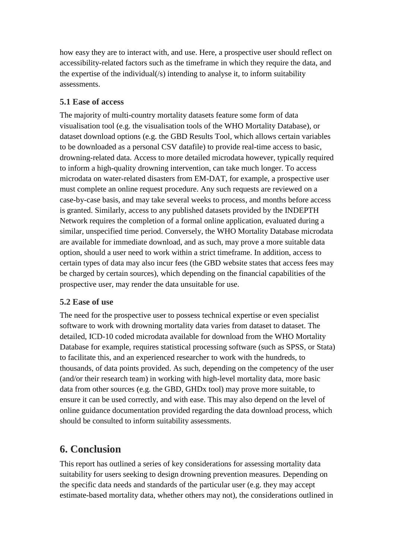how easy they are to interact with, and use. Here, a prospective user should reflect on accessibility-related factors such as the timeframe in which they require the data, and the expertise of the individual(/s) intending to analyse it, to inform suitability assessments.

#### **5.1 Ease of access**

The majority of multi-country mortality datasets feature some form of data visualisation tool (e.g. the visualisation tools of the WHO Mortality Database), or dataset download options (e.g. the GBD Results Tool, which allows certain variables to be downloaded as a personal CSV datafile) to provide real-time access to basic, drowning-related data. Access to more detailed microdata however, typically required to inform a high-quality drowning intervention, can take much longer. To access microdata on water-related disasters from EM-DAT, for example, a prospective user must complete an online request procedure. Any such requests are reviewed on a case-by-case basis, and may take several weeks to process, and months before access is granted. Similarly, access to any published datasets provided by the INDEPTH Network requires the completion of a formal online application, evaluated during a similar, unspecified time period. Conversely, the WHO Mortality Database microdata are available for immediate download, and as such, may prove a more suitable data option, should a user need to work within a strict timeframe. In addition, access to certain types of data may also incur fees (the GBD website states that access fees may be charged by certain sources), which depending on the financial capabilities of the prospective user, may render the data unsuitable for use.

#### **5.2 Ease of use**

The need for the prospective user to possess technical expertise or even specialist software to work with drowning mortality data varies from dataset to dataset. The detailed, ICD-10 coded microdata available for download from the WHO Mortality Database for example, requires statistical processing software (such as SPSS, or Stata) to facilitate this, and an experienced researcher to work with the hundreds, to thousands, of data points provided. As such, depending on the competency of the user (and/or their research team) in working with high-level mortality data, more basic data from other sources (e.g. the GBD, GHDx tool) may prove more suitable, to ensure it can be used correctly, and with ease. This may also depend on the level of online guidance documentation provided regarding the data download process, which should be consulted to inform suitability assessments.

### **6. Conclusion**

This report has outlined a series of key considerations for assessing mortality data suitability for users seeking to design drowning prevention measures. Depending on the specific data needs and standards of the particular user (e.g. they may accept estimate-based mortality data, whether others may not), the considerations outlined in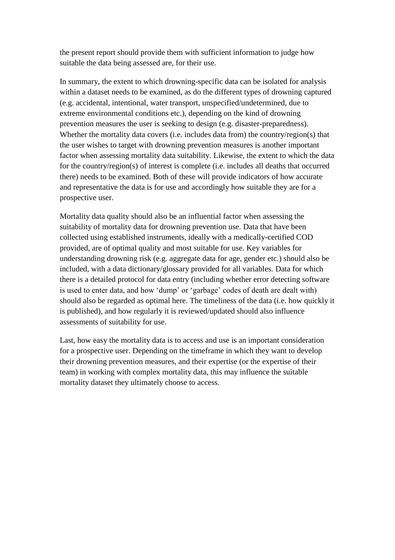the present report should provide them with sufficient information to judge how suitable the data being assessed are, for their use.

In summary, the extent to which drowning-specific data can be isolated for analysis within a dataset needs to be examined, as do the different types of drowning captured (e.g. accidental, intentional, water transport, unspecified/undetermined, due to extreme environmental conditions etc.), depending on the kind of drowning prevention measures the user is seeking to design (e.g. disaster-preparedness). Whether the mortality data covers (i.e. includes data from) the country/region(s) that the user wishes to target with drowning prevention measures is another important factor when assessing mortality data suitability. Likewise, the extent to which the data for the country/region(s) of interest is complete (i.e. includes all deaths that occurred there) needs to be examined. Both of these will provide indicators of how accurate and representative the data is for use and accordingly how suitable they are for a prospective user.

Mortality data quality should also be an influential factor when assessing the suitability of mortality data for drowning prevention use. Data that have been collected using established instruments, ideally with a medically-certified COD provided, are of optimal quality and most suitable for use. Key variables for understanding drowning risk (e.g. aggregate data for age, gender etc.) should also be included, with a data dictionary/glossary provided for all variables. Data for which there is a detailed protocol for data entry (including whether error detecting software is used to enter data, and how 'dump' or 'garbage' codes of death are dealt with) should also be regarded as optimal here. The timeliness of the data (i.e. how quickly it is published), and how regularly it is reviewed/updated should also influence assessments of suitability for use.

Last, how easy the mortality data is to access and use is an important consideration for a prospective user. Depending on the timeframe in which they want to develop their drowning prevention measures, and their expertise (or the expertise of their team) in working with complex mortality data, this may influence the suitable mortality dataset they ultimately choose to access.